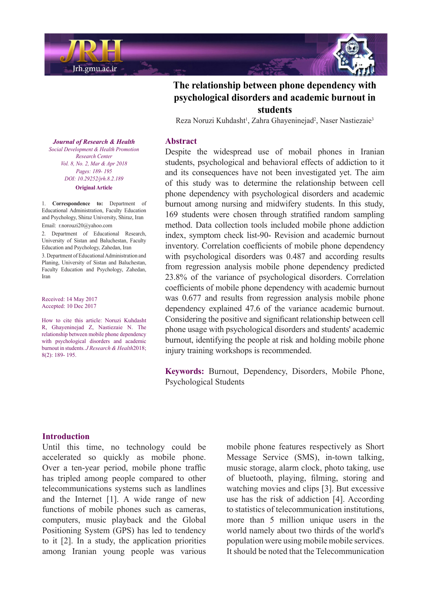



Reza Noruzi Kuhdasht<sup>1</sup>, Zahra Ghayeninejad<sup>2</sup>, Naser Nastiezaie<sup>3</sup>

#### **Abstract**

Despite the widespread use of mobail phones in Iranian students, psychological and behavioral effects of addiction to it and its consequences have not been investigated yet. The aim of this study was to determine the relationship between cell phone dependency with psychological disorders and academic burnout among nursing and midwifery students. In this study, 169 students were chosen through stratified random sampling method. Data collection tools included mobile phone addiction index, symptom check list-90- Revision and academic burnout inventory. Correlation coefficients of mobile phone dependency with psychological disorders was  $0.487$  and according results from regression analysis mobile phone dependency predicted  $23.8\%$  of the variance of psychological disorders. Correlation coefficients of mobile phone dependency with academic burnout was 0.677 and results from regression analysis mobile phone dependency explained 47.6 of the variance academic burnout. Considering the positive and significant relationship between cell phone usage with psychological disorders and students' academic burnout, identifying the people at risk and holding mobile phone injury training workshops is recommended.

Keywords: Burnout, Dependency, Disorders, Mobile Phone, Psychological Students

#### **Journal of Research & Health** *Social Development & Health Promotion Center Research Vol. 8, No. 2, Mar & Apr 2018* Pages: 189- 195 *DOI*: 10.29252/jrh.8.2.189 **Original Article**

1. **Correspondence to:** Department of Educational Administration, Faculty Education and Psychology, Shiraz University, Shiraz, Iran Email: r.norouzi20@yahoo.com

2. Department of Educational Research, University of Sistan and Baluchestan, Faculty Education and Psychology, Zahedan, Iran 3. Department of Educational Administration and Planing, University of Sistan and Baluchestan, Faculty Education and Psychology, Zahedan, Iran

Received: 14 May 2017 Accepted: 10 Dec 2017

How to cite this article: Noruzi Kuhdasht R, Ghayeninejad Z, Nastiezaie N. The relationship between mobile phone dependency with psychological disorders and academic burnout in students. *J Research & Health* 2018:  $8(2): 189 - 195.$ 

# **Introduction**

Until this time, no technology could be accelerated so quickly as mobile phone. Over a ten-year period, mobile phone traffic has tripled among people compared to other telecommunications systems such as landlines and the Internet  $[1]$ . A wide range of new functions of mobile phones such as cameras, computers, music playback and the Global Positioning System (GPS) has led to tendency to it  $[2]$ . In a study, the application priorities among Iranian young people was various

mobile phone features respectively as Short Message Service (SMS), in-town talking, music storage, alarm clock, photo taking, use of bluetooth, playing, filming, storing and watching movies and clips [3]. But excessive use has the risk of addiction  $[4]$ . According to statistics of telecommunication institutions. more than 5 million unique users in the world namely about two thirds of the world's population were using mobile mobile services. It should be noted that the Telecommunication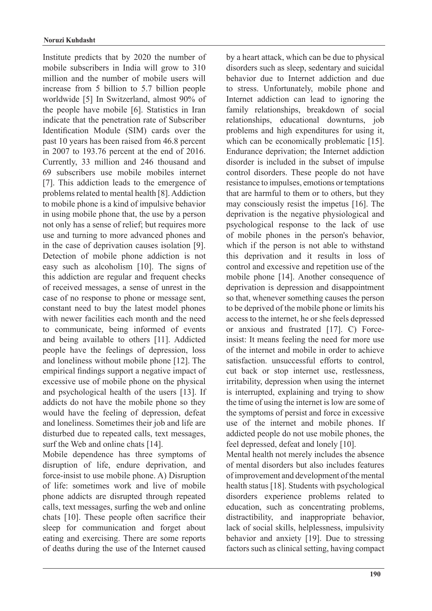Institute predicts that by 2020 the number of mobile subscribers in India will grow to 310 million and the number of mobile users will increase from  $5$  billion to  $5.7$  billion people worldwide [5] In Switzerland, almost 90% of the people have mobile [6]. Statistics in Iran indicate that the penetration rate of Subscriber Identification Module (SIM) cards over the past 10 years has been raised from 46.8 percent in 2007 to 193.76 percent at the end of 2016. Currently, 33 million and 246 thousand and 69 subscribers use mobile mobiles internet  $[7]$ . This addiction leads to the emergence of problems related to mental health [8]. Addiction to mobile phone is a kind of impulsive behavior in using mobile phone that, the use by a person not only has a sense of relief; but requires more use and turning to more advanced phones and in the case of deprivation causes isolation [9]. Detection of mobile phone addiction is not easy such as alcoholism  $[10]$ . The signs of this addiction are regular and frequent checks of received messages, a sense of unrest in the case of no response to phone or message sent, constant need to buy the latest model phones with newer facilities each month and the need to communicate, being informed of events and being available to others [11]. Addicted people have the feelings of depression, loss and loneliness without mobile phone [12]. The empirical findings support a negative impact of excessive use of mobile phone on the physical and psychological health of the users [13]. If addicts do not have the mobile phone so they would have the feeling of depression, defeat and loneliness. Sometimes their job and life are disturbed due to repeated calls, text messages, surf the Web and online chats [14].

Mobile dependence has three symptoms of disruption of life, endure deprivation, and force-insist to use mobile phone. A) Disruption of life: sometimes work and live of mobile phone addicts are disrupted through repeated calls, text messages, surfing the web and online chats  $[10]$ . These people often sacrifice their sleep for communication and forget about eating and exercising. There are some reports of deaths during the use of the Internet caused

by a heart attack, which can be due to physical disorders such as sleep, sedentary and suicidal behavior due to Internet addiction and due to stress. Unfortunately, mobile phone and Internet addiction can lead to ignoring the family relationships, breakdown of social relationships, educational downturns, job problems and high expenditures for using it, which can be economically problematic  $[15]$ . Endurance deprivation; the Internet addiction disorder is included in the subset of impulse control disorders. These people do not have resistance to impulses, emotions or temptations that are harmful to them or to others, but they may consciously resist the impetus  $[16]$ . The deprivation is the negative physiological and psychological response to the lack of use of mobile phones in the person's behavior, which if the person is not able to withstand this deprivation and it results in loss of control and excessive and repetition use of the mobile phone [14]. Another consequence of deprivation is depression and disappointment so that, whenever something causes the person to be deprived of the mobile phone or limits his access to the internet, he or she feels depressed insist: It means feeling the need for more use or anxious and frustrated  $[17]$ . C) Forceof the internet and mobile in order to achieve satisfaction. unsuccessful efforts to control. cut back or stop internet use, restlessness, irritability, depression when using the internet is interrupted, explaining and trying to show the time of using the internet is low are some of the symptoms of persist and force in excessive use of the internet and mobile phones. If addicted people do not use mobile phones, the feel depressed, defeat and lonely [10]. Mental health not merely includes the absence

of mental disorders but also includes features of improvement and development of the mental health status [18]. Students with psychological disorders experience problems related to education, such as concentrating problems, distractibility, and inappropriate behavior, lack of social skills, helplessness, impulsivity behavior and anxiety [19]. Due to stressing factors such as clinical setting, having compact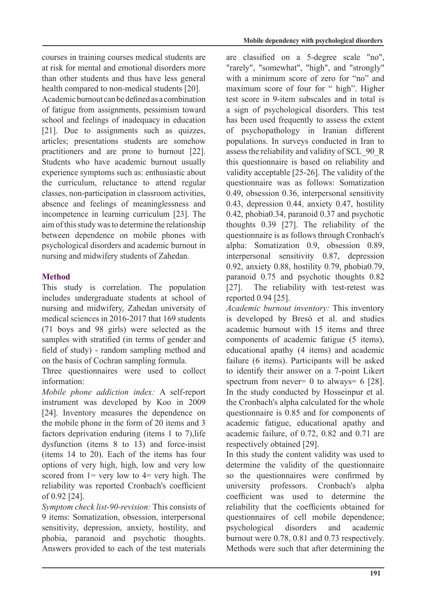courses in training courses medical students are at risk for mental and emotional disorders more than other students and thus have less general health compared to non-medical students [20].

A cademic burnout can be defined as a combination of fatigue from assignments, pessimism toward school and feelings of inadequacy in education  $[21]$ . Due to assignments such as quizzes, articles; presentations students are somehow practitioners and are prone to burnout  $[22]$ . Students who have academic burnout usually experience symptoms such as: enthusiastic about the curriculum, reluctance to attend regular classes, non-participation in classroom activities, absence and feelings of meaninglessness and incompetence in learning curriculum [23]. The aim of this study was to determine the relationship between dependence on mobile phones with psychological disorders and academic burnout in nursing and midwifery students of Zahedan.

# **Method**

This study is correlation. The population includes undergraduate students at school of nursing and midwifery. Zahedan university of medical sciences in 2016-2017 that 169 students  $(71)$  boys and 98 girls) were selected as the samples with stratified (in terms of gender and field of study) - random sampling method and on the basis of Cochran sampling formula.

Three questionnaires were used to collect information<sup>.</sup>

*Mobile phone addiction index:* A self-report instrument was developed by Koo in 2009 [24]. Inventory measures the dependence on the mobile phone in the form of 20 items and 3 factors deprivation enduring (items  $1$  to  $7$ ). life  $dys$  function (items  $8$  to 13) and force-insist (items  $14$  to  $20$ ). Each of the items has four options of very high, high, low and very low scored from  $1 = \text{very low to } 4 = \text{very high.}$  The reliability was reported Cronbach's coefficient  $of 0.92$  [24].

Symptom check list-90-revision: This consists of 9 items: Somatization, obsession, interpersonal sensitivity, depression, anxiety, hostility, and phobia, paranoid and psychotic thoughts. Answers provided to each of the test materials

are classified on a 5-degree scale "no", "rarely", "somewhat", "high", and "strongly" with a minimum score of zero for "no" and maximum score of four for " high". Higher test score in 9-item subscales and in total is a sign of psychological disorders. This test has been used frequently to assess the extent of psychopathology in Iranian different populations. In surveys conducted in Iran to assess the reliability and validity of SCL 90 R this questionnaire is based on reliability and validity acceptable  $[25-26]$ . The validity of the questionnaire was as follows: Somatization 0.49, obsession 0.36, interpersonal sensitivity 0.43, depression 0.44, anxiety 0.47, hostility  $0.42$ , phobia $0.34$ , paranoid  $0.37$  and psychotic thoughts  $0.39$  [27]. The reliability of the questionnaire is as follows through Cronbach's alpha: Somatization  $0.9$ , obsession  $0.89$ , interpersonal sensitivity  $0.87$ , depression 0.92, anxiety 0.88, hostility 0.79, phobia 0.79, paranoid  $0.75$  and psychotic thoughts  $0.82$ [27]. The reliability with test-retest was reported 0.94 [25].

Academic burnout *inventory*: This inventory is developed by Bresó et al. and studies academic burnout with 15 items and three components of academic fatigue (5 items). educational apathy (4 items) and academic failure (6 items). Participants will be asked to identify their answer on a 7-point Likert spectrum from never = 0 to always =  $6$  [28]. In the study conducted by Hosseinpur et al. the Cronbach's alpha calculated for the whole questionnaire is 0.85 and for components of academic fatigue, educational apathy and academic failure, of  $0.72$ ,  $0.82$  and  $0.71$  are respectively obtained [29].

In this study the content validity was used to determine the validity of the questionnaire so the questionnaires were confirmed by university professors. Cronbach's alpha coefficient was used to determine the reliability that the coefficients obtained for questionnaires of cell mobile dependence; psychological disorders and academic burnout were  $0.78$ ,  $0.81$  and  $0.73$  respectively. Methods were such that after determining the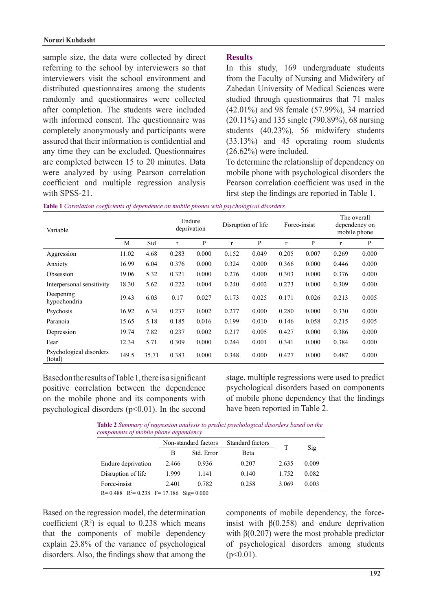sample size, the data were collected by direct referring to the school by interviewers so that interviewers visit the school environment and distributed questionnaires among the students randomly and questionnaires were collected after completion. The students were included with informed consent. The questionnaire was completely anonymously and participants were assured that their information is confidential and any time they can be excluded. Questionnaires are completed between 15 to 20 minutes. Data were analyzed by using Pearson correlation coefficient and multiple regression analysis with SPSS-21.

#### **Results**

In this study, 169 undergraduate students from the Faculty of Nursing and Midwifery of Zahedan University of Medical Sciences were studied through questionnaires that 71 males  $(42.01\%)$  and 98 female  $(57.99\%)$ , 34 married  $(20.11\%)$  and 135 single  $(790.89\%)$ , 68 nursing students  $(40.23\%)$ , 56 midwifery students  $(33.13%)$  and 45 operating room students  $(26.62\%)$  were included.

To determine the relationship of dependency on mobile phone with psychological disorders the Pearson correlation coefficient was used in the first step the findings are reported in Table 1.

| Variable                           |       |       | Endure<br>deprivation |       | Disruption of life |       | Force-insist |       | The overall<br>dependency on<br>mobile phone |       |
|------------------------------------|-------|-------|-----------------------|-------|--------------------|-------|--------------|-------|----------------------------------------------|-------|
|                                    | М     | Sid   | $\mathbf{r}$          | P     | r                  | P     | r            | P     | r                                            | P     |
| Aggression                         | 11.02 | 4.68  | 0.283                 | 0.000 | 0.152              | 0.049 | 0.205        | 0.007 | 0.269                                        | 0.000 |
| Anxiety                            | 16.99 | 6.04  | 0.376                 | 0.000 | 0.324              | 0.000 | 0.366        | 0.000 | 0.446                                        | 0.000 |
| Obsession                          | 19.06 | 5.32  | 0.321                 | 0.000 | 0.276              | 0.000 | 0.303        | 0.000 | 0.376                                        | 0.000 |
| Interpersonal sensitivity          | 18.30 | 5.62  | 0.222                 | 0.004 | 0.240              | 0.002 | 0.273        | 0.000 | 0.309                                        | 0.000 |
| Deepening<br>hypochondria          | 19.43 | 6.03  | 0.17                  | 0.027 | 0.173              | 0.025 | 0.171        | 0.026 | 0.213                                        | 0.005 |
| Psychosis                          | 16.92 | 6.34  | 0.237                 | 0.002 | 0.277              | 0.000 | 0.280        | 0.000 | 0.330                                        | 0.000 |
| Paranoia                           | 15.65 | 5.18  | 0.185                 | 0.016 | 0.199              | 0.010 | 0.146        | 0.058 | 0.215                                        | 0.005 |
| Depression                         | 19.74 | 7.82  | 0.237                 | 0.002 | 0.217              | 0.005 | 0.427        | 0.000 | 0.386                                        | 0.000 |
| Fear                               | 12.34 | 5.71  | 0.309                 | 0.000 | 0.244              | 0.001 | 0.341        | 0.000 | 0.384                                        | 0.000 |
| Psychological disorders<br>(total) | 149.5 | 35.71 | 0.383                 | 0.000 | 0.348              | 0.000 | 0.427        | 0.000 | 0.487                                        | 0.000 |

Table 1 Correlation coefficients of dependence on mobile phones with psychological disorders

Based on the results of Table 1, there is a significant positive correlation between the dependence on the mobile phone and its components with psychological disorders  $(p<0.01)$ . In the second stage, multiple regressions were used to predict psychological disorders based on components of mobile phone dependency that the findings have been reported in Table 2.

**Table 2** Summary of regression analysis to predict psychological disorders based on the *components of mobile phone dependency* 

|                                                    |       | Non-standard factors | Standard factors | T     |       |
|----------------------------------------------------|-------|----------------------|------------------|-------|-------|
|                                                    | В     | Std. Error           | Beta             |       | Sig   |
| Endure deprivation                                 | 2.466 | 0.936                | 0.207            | 2.635 | 0.009 |
| Disruption of life                                 | 1.999 | 1.141                | 0.140            | 1.752 | 0.082 |
| Force-insist                                       | 2.401 | 0.782                | 0.258            | 3.069 | 0.003 |
| $R = 0.488$ $R^2 = 0.238$ $F = 17.186$ Sig = 0.000 |       |                      |                  |       |       |

Based on the regression model, the determination coefficient  $(R^2)$  is equal to 0.238 which means that the components of mobile dependency explain  $23.8\%$  of the variance of psychological disorders. Also, the findings show that among the

insist with  $\beta(0.258)$  and endure deprivation components of mobile dependency, the forcewith  $\beta(0.207)$  were the most probable predictor of psychological disorders among students  $(p<0.01)$ .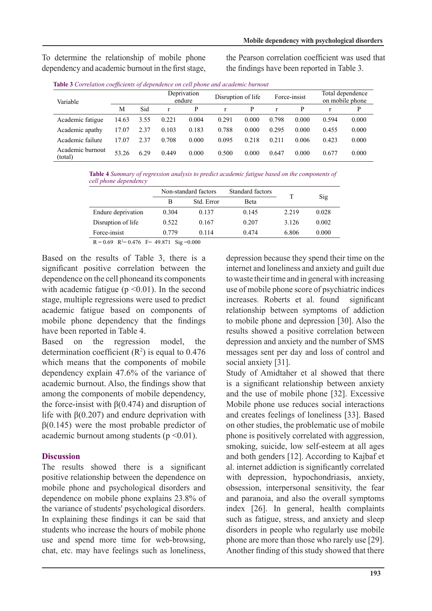To determine the relationship of mobile phone dependency and academic burnout in the first stage, the Pearson correlation coefficient was used that the findings have been reported in Table 3.

| Variable                    |       |      | Deprivation<br>endure |       |       | Disruption of life |       | Force-insist |       | Total dependence<br>on mobile phone |  |
|-----------------------------|-------|------|-----------------------|-------|-------|--------------------|-------|--------------|-------|-------------------------------------|--|
|                             | M     | Sid  |                       | P     |       | P                  |       | P            |       | D                                   |  |
| Academic fatigue            | 14.63 | 3.55 | 0.221                 | 0.004 | 0.291 | 0.000              | 0.798 | 0.000        | 0.594 | 0.000                               |  |
| Academic apathy             | 17.07 | 2.37 | 0.103                 | 0.183 | 0.788 | 0.000              | 0.295 | 0.000        | 0.455 | 0.000                               |  |
| Academic failure            | 17.07 | 2.37 | 0.708                 | 0.000 | 0.095 | 0.218              | 0.211 | 0.006        | 0.423 | 0.000                               |  |
| Academic burnout<br>(total) | 53.26 | 6.29 | 0.449                 | 0.000 | 0.500 | 0.000              | 0.647 | 0.000        | 0.677 | 0.000                               |  |

**Table 4** Summary of regression analysis to predict academic fatigue based on the components of *dell* phone dependency

|                    |       | Non-standard factors | Standard factors |         |       |
|--------------------|-------|----------------------|------------------|---------|-------|
|                    | В     | Std. Error           | Beta             |         | Sig   |
| Endure deprivation | 0.304 | 0.137                | 0.145            | 2.219   | 0.028 |
| Disruption of life | 0.522 | 0.167                | 0.207            | 3 1 2 6 | 0.002 |
| Force-insist       | 0.779 | 0 1 1 4              | 0.474            | 6.806   | 0.000 |

 $R = 0.69$   $R^2 = 0.476$   $F = 49.871$  Sig = 0.000

Based on the results of Table 3, there is a significant positive correlation between the dependence on the cell phoneand its components with academic fatigue  $(p \le 0.01)$ . In the second stage, multiple regressions were used to predict academic fatigue based on components of mobile phone dependency that the findings have been reported in Table 4.

Based on the regression model, the determination coefficient  $(R^2)$  is equal to 0.476 which means that the components of mobile dependency explain  $47.6%$  of the variance of academic burnout. Also, the findings show that among the components of mobile dependency, the force-insist with  $\beta(0.474)$  and disruption of life with  $\beta(0.207)$  and endure deprivation with  $\beta$ (0.145) were the most probable predictor of academic burnout among students  $(p \le 0.01)$ .

# **Discussion**

The results showed there is a significant positive relationship between the dependence on mobile phone and psychological disorders and dependence on mobile phone explains  $23.8\%$  of the variance of students' psychological disorders. In explaining these findings it can be said that students who increase the hours of mobile phone use and spend more time for web-browsing, chat, etc. may have feelings such as loneliness,

depression because they spend their time on the internet and loneliness and anxiety and guilt due to waste their time and in general with increasing use of mobile phone score of psychiatric indices increases. Roberts et al. found significant relationship between symptoms of addiction to mobile phone and depression [30]. Also the results showed a positive correlation between depression and anxiety and the number of SMS messages sent per day and loss of control and social anxiety [31].

Study of Amidtaher et al showed that there is a significant relationship between anxiety and the use of mobile phone [32]. Excessive Mobile phone use reduces social interactions and creates feelings of loneliness [33]. Based on other studies, the problematic use of mobile phone is positively correlated with aggression. smoking, suicide, low self-esteem at all ages and both genders [12]. According to Kajbaf et al. internet addiction is significantly correlated with depression, hypochondriasis, anxiety, obsession, interpersonal sensitivity, the fear and paranoia, and also the overall symptoms index  $[26]$ . In general, health complaints such as fatigue, stress, and anxiety and sleep disorders in people who regularly use mobile phone are more than those who rarely use [29]. Another finding of this study showed that there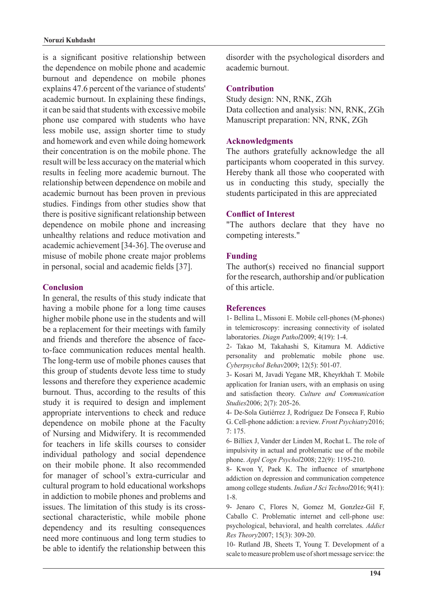is a significant positive relationship between the dependence on mobile phone and academic burnout and dependence on mobile phones explains 47.6 percent of the variance of students' academic burnout. In explaining these findings, it can be said that students with excessive mobile phone use compared with students who have less mobile use, assign shorter time to study and homework and even while doing homework their concentration is on the mobile phone. The result will be less accuracy on the material which results in feeling more academic burnout. The relationship between dependence on mobile and academic burnout has been proven in previous studies. Findings from other studies show that there is positive significant relationship between dependence on mobile phone and increasing unhealthy relations and reduce motivation and academic achievement [34-36]. The overuse and misuse of mobile phone create major problems in personal, social and academic fields [37].

### **Conclusion**

In general, the results of this study indicate that having a mobile phone for a long time causes higher mobile phone use in the students and will be a replacement for their meetings with family to-face communication reduces mental health. and friends and therefore the absence of face-The long-term use of mobile phones causes that this group of students devote less time to study lessons and therefore they experience academic burnout. Thus, according to the results of this study it is required to design and implement appropriate interventions to check and reduce dependence on mobile phone at the Faculty of Nursing and Midwifery. It is recommended for teachers in life skills courses to consider individual pathology and social dependence on their mobile phone. It also recommended for manager of school's extra-curricular and cultural program to hold educational workshops in addiction to mobile phones and problems and sectional characteristic, while mobile phone issues. The limitation of this study is its crossdependency and its resulting consequences need more continuous and long term studies to be able to identify the relationship between this disorder with the psychological disorders and academic burnout.

# **Contribution**

Study design: NN, RNK, ZGh Data collection and analysis: NN, RNK, ZGh Manuscript preparation: NN, RNK, ZGh

# **Acknowledgments**

The authors gratefully acknowledge the all participants whom cooperated in this survey. Hereby thank all those who cooperated with us in conducting this study, specially the students participated in this are appreciated

### **Conflict of Interest**

"The authors declare that they have no competing interests."

# **Funding**

The author(s) received no financial support for the research, authorship and/or publication of this article

## **References**

1- Bellina L, Missoni E. Mobile cell-phones (M-phones) in telemicroscopy: increasing connectivity of isolated laboratories. *Diagn Pathol* 2009; 4(19): 1-4.

2- Takao M, Takahashi S, Kitamura M. Addictive personality and problematic mobile phone use. Cyberpsychol Behav2009; 12(5): 501-07.

3- Kosari M, Javadi Yegane MR, Kheyrkhah T. Mobile application for Iranian users, with an emphasis on using and satisfaction theory. Culture and Communication Studies<sub>2006</sub>; 2(7): 205-26.

4- De-Sola Gutiérrez J, Rodríguez De Fonseca F, Rubio G. Cell-phone addiction: a review. Front Psychiatry 2016;  $7: 175.$ 

6- Billiex J, Vander der Linden M, Rochat L. The role of impulsivity in actual and problematic use of the mobile phone. Appl Cogn Psychol2008; 22(9): 1195-210.

8- Kwon Y, Paek K. The influence of smartphone addiction on depression and communication competence among college students. *Indian J Sci Technol* 2016; 9(41): 1-8.

9- Jenaro C, Flores N, Gomez M, Gonzlez-Gil F, Caballo C. Problematic internet and cell-phone use: psychological, behavioral, and health correlates. Addict Res Theory 2007; 15(3): 309-20.

10- Rutland JB, Sheets T, Young T. Development of a scale to measure problem use of short message service: the